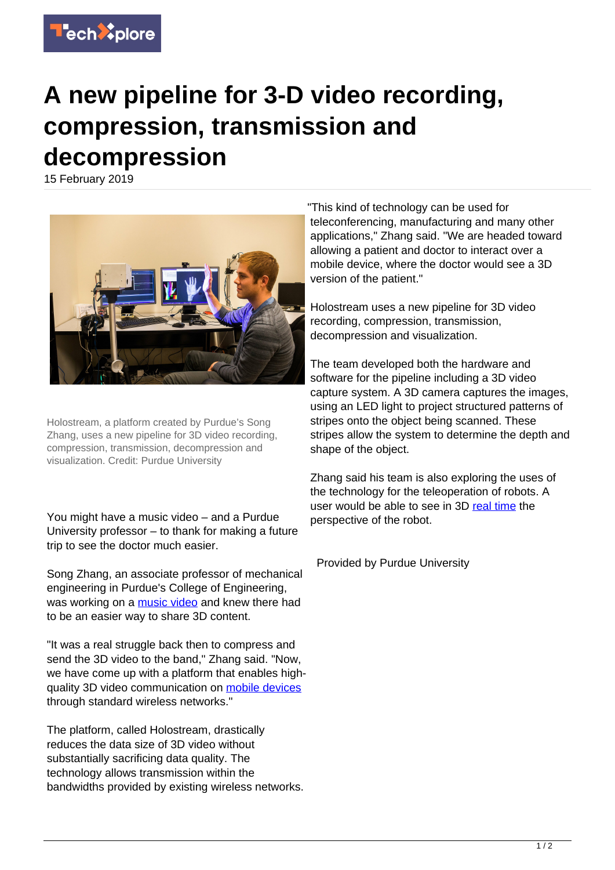

## **A new pipeline for 3-D video recording, compression, transmission and decompression**

15 February 2019



Holostream, a platform created by Purdue's Song Zhang, uses a new pipeline for 3D video recording, compression, transmission, decompression and visualization. Credit: Purdue University

You might have a music video – and a Purdue University professor – to thank for making a future trip to see the doctor much easier.

Song Zhang, an associate professor of mechanical engineering in Purdue's College of Engineering, was working on a [music video](https://techxplore.com/tags/music+video/) and knew there had to be an easier way to share 3D content.

"It was a real struggle back then to compress and send the 3D video to the band," Zhang said. "Now, we have come up with a platform that enables highquality 3D video communication on [mobile devices](https://techxplore.com/tags/mobile+devices/) through standard wireless networks."

The platform, called Holostream, drastically reduces the data size of 3D video without substantially sacrificing data quality. The technology allows transmission within the bandwidths provided by existing wireless networks.

"This kind of technology can be used for teleconferencing, manufacturing and many other applications," Zhang said. "We are headed toward allowing a patient and doctor to interact over a mobile device, where the doctor would see a 3D version of the patient."

Holostream uses a new pipeline for 3D video recording, compression, transmission, decompression and visualization.

The team developed both the hardware and software for the pipeline including a 3D video capture system. A 3D camera captures the images, using an LED light to project structured patterns of stripes onto the object being scanned. These stripes allow the system to determine the depth and shape of the object.

Zhang said his team is also exploring the uses of the technology for the teleoperation of robots. A user would be able to see in 3D [real time](https://techxplore.com/tags/real+time/) the perspective of the robot.

Provided by Purdue University